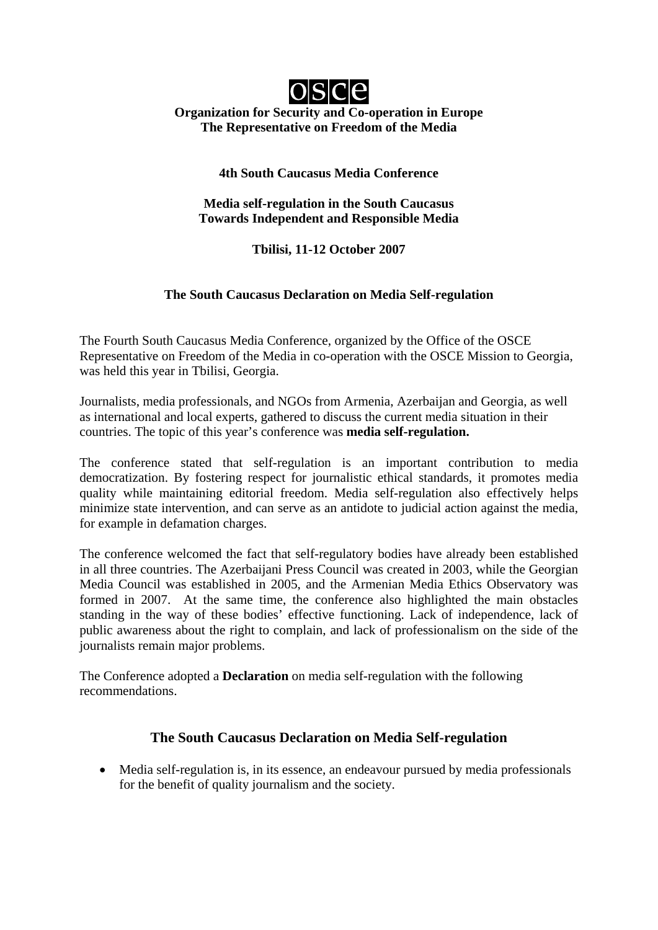

### **Organization for Security and Co-operation in Europe The Representative on Freedom of the Media**

**4th South Caucasus Media Conference** 

**Media self-regulation in the South Caucasus Towards Independent and Responsible Media** 

## **Tbilisi, 11-12 October 2007**

## **The South Caucasus Declaration on Media Self-regulation**

The Fourth South Caucasus Media Conference, organized by the Office of the OSCE Representative on Freedom of the Media in co-operation with the OSCE Mission to Georgia, was held this year in Tbilisi, Georgia.

Journalists, media professionals, and NGOs from Armenia, Azerbaijan and Georgia, as well as international and local experts, gathered to discuss the current media situation in their countries. The topic of this year's conference was **media self-regulation.** 

The conference stated that self-regulation is an important contribution to media democratization. By fostering respect for journalistic ethical standards, it promotes media quality while maintaining editorial freedom. Media self-regulation also effectively helps minimize state intervention, and can serve as an antidote to judicial action against the media, for example in defamation charges.

The conference welcomed the fact that self-regulatory bodies have already been established in all three countries. The Azerbaijani Press Council was created in 2003, while the Georgian Media Council was established in 2005, and the Armenian Media Ethics Observatory was formed in 2007. At the same time, the conference also highlighted the main obstacles standing in the way of these bodies' effective functioning. Lack of independence, lack of public awareness about the right to complain, and lack of professionalism on the side of the journalists remain major problems.

The Conference adopted a **Declaration** on media self-regulation with the following recommendations.

# **The South Caucasus Declaration on Media Self-regulation**

• Media self-regulation is, in its essence, an endeavour pursued by media professionals for the benefit of quality journalism and the society.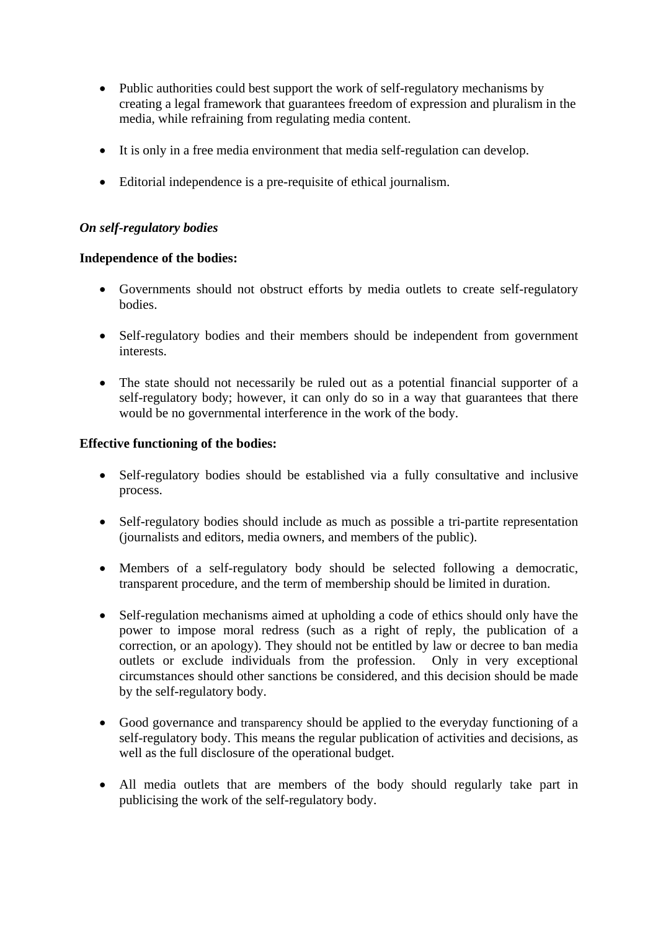- Public authorities could best support the work of self-regulatory mechanisms by creating a legal framework that guarantees freedom of expression and pluralism in the media, while refraining from regulating media content.
- It is only in a free media environment that media self-regulation can develop.
- Editorial independence is a pre-requisite of ethical journalism.

#### *On self-regulatory bodies*

#### **Independence of the bodies:**

- Governments should not obstruct efforts by media outlets to create self-regulatory bodies.
- Self-regulatory bodies and their members should be independent from government interests.
- The state should not necessarily be ruled out as a potential financial supporter of a self-regulatory body; however, it can only do so in a way that guarantees that there would be no governmental interference in the work of the body.

#### **Effective functioning of the bodies:**

- Self-regulatory bodies should be established via a fully consultative and inclusive process.
- Self-regulatory bodies should include as much as possible a tri-partite representation (journalists and editors, media owners, and members of the public).
- Members of a self-regulatory body should be selected following a democratic, transparent procedure, and the term of membership should be limited in duration.
- Self-regulation mechanisms aimed at upholding a code of ethics should only have the power to impose moral redress (such as a right of reply, the publication of a correction, or an apology). They should not be entitled by law or decree to ban media outlets or exclude individuals from the profession. Only in very exceptional circumstances should other sanctions be considered, and this decision should be made by the self-regulatory body.
- Good governance and transparency should be applied to the everyday functioning of a self-regulatory body. This means the regular publication of activities and decisions, as well as the full disclosure of the operational budget.
- All media outlets that are members of the body should regularly take part in publicising the work of the self-regulatory body.